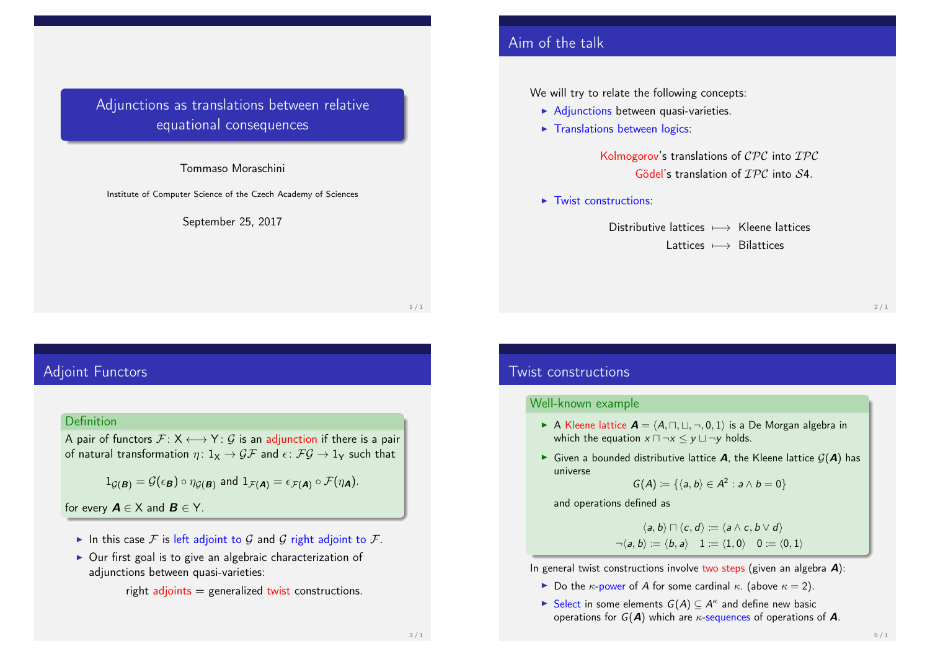# Adjunctions as translations between relative equational consequences

### Tommaso Moraschini

Institute of Computer Science of the Czech Academy of Sciences

#### September 25, 2017

1 / 1

## Adjoint Functors

### **Definition**

A pair of functors  $\mathcal{F}: X \longleftrightarrow Y: \mathcal{G}$  is an adjunction if there is a pair of natural transformation  $\eta: 1_X \to \mathcal{GF}$  and  $\epsilon: \mathcal{FG} \to 1_Y$  such that

$$
1_{\mathcal{G}(\mathbf{B})} = \mathcal{G}(\epsilon_{\mathbf{B}}) \circ \eta_{\mathcal{G}(\mathbf{B})} \text{ and } 1_{\mathcal{F}(\mathbf{A})} = \epsilon_{\mathcal{F}(\mathbf{A})} \circ \mathcal{F}(\eta_{\mathbf{A}}).
$$

for every  $A \in X$  and  $B \in Y$ .

- In this case F is left adjoint to G and G right adjoint to F.
- $\triangleright$  Our first goal is to give an algebraic characterization of adjunctions between quasi-varieties:

right  $adjoints = generalized twist$  constructions.

## Aim of the talk

We will try to relate the following concepts:

- $\blacktriangleright$  Adjunctions between quasi-varieties.
- $\blacktriangleright$  Translations between logics:

Kolmogorov's translations of  $\mathcal{CPC}$  into  $\mathcal{IPC}$ Gödel's translation of *IPC* into S4.

 $\blacktriangleright$  Twist constructions:

Distributive lattices  $\longmapsto$  Kleene lattices Lattices 7−→ Bilattices

 $2/1$ 

## Twist constructions

#### Well-known example

- A Kleene lattice  $A = (A, \sqcap, \sqcup, \neg, 0, 1)$  is a De Morgan algebra in which the equation  $x \sqcap \neg x \leq y \sqcup \neg y$  holds.
- $\triangleright$  Given a bounded distributive lattice **A**, the Kleene lattice  $G(A)$  has universe

$$
G(A) := \{ \langle a, b \rangle \in A^2 : a \wedge b = 0 \}
$$

and operations defined as

$$
\langle a, b \rangle \sqcap \langle c, d \rangle \coloneqq \langle a \land c, b \lor d \rangle
$$

$$
\neg \langle a, b \rangle \coloneqq \langle b, a \rangle \quad 1 \coloneqq \langle 1, 0 \rangle \quad 0 \coloneqq \langle 0, 1 \rangle
$$

In general twist constructions involve two steps (given an algebra  $\mathbf{A}$ ):

- Do the  $\kappa$ -power of A for some cardinal  $\kappa$ . (above  $\kappa = 2$ ).
- Select in some elements  $G(A) \subseteq A^{\kappa}$  and define new basic operations for  $G(A)$  which are  $\kappa$ -sequences of operations of A.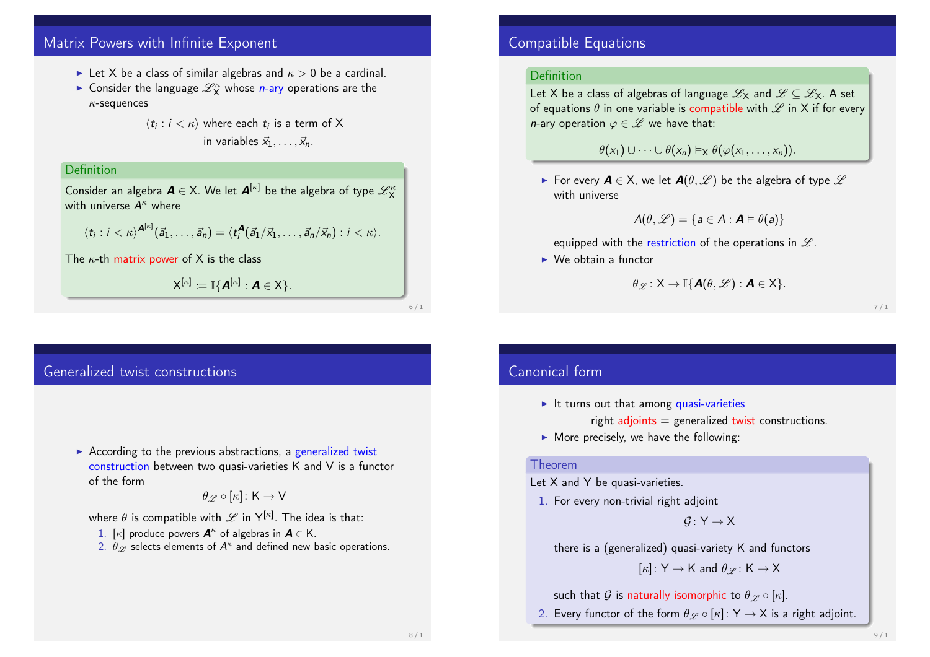# Matrix Powers with Infinite Exponent

- In Let X be a class of similar algebras and  $\kappa > 0$  be a cardinal.
- $\blacktriangleright$  Consider the language  $\mathscr{L}_X^{\kappa}$  whose *n*-ary operations are the  $\kappa$ -sequences

 $\langle t_i : i < \kappa \rangle$  where each  $t_i$  is a term of X in variables  $\vec{x}_1, \ldots, \vec{x}_n$ .

### Definition

Consider an algebra  $\boldsymbol{A} \in \mathsf{X}$ . We let  $\boldsymbol{A}^{[\kappa]}$  be the algebra of type  $\mathscr{L}^{\kappa}_{\mathsf{X}}$ with universe  $A^{\kappa}$  where

$$
\langle t_i : i < \kappa \rangle^{\mathbf{A}^{[\kappa]}}(\vec{a}_1,\ldots,\vec{a}_n) = \langle t_i^{\mathbf{A}}(\vec{a}_1/\vec{x}_1,\ldots,\vec{a}_n/\vec{x}_n) : i < \kappa \rangle.
$$

The  $\kappa$ -th matrix power of X is the class

$$
\mathsf{X}^{[\kappa]}:=\mathbb{I}\{\mathsf{A}^{[\kappa]}:\mathsf{A}\in\mathsf{X}\}.
$$

6 / 1

## Generalized twist constructions

 $\triangleright$  According to the previous abstractions, a generalized twist construction between two quasi-varieties K and V is a functor of the form

$$
\theta_{\mathscr{L}}\circ[\kappa]\colon{\mathsf{K}}\to{\mathsf{V}}
$$

where  $\theta$  is compatible with  $\mathscr L$  in  $\mathsf{Y}^{[\kappa]}$ . The idea is that:

- 1. [ $\kappa$ ] produce powers  $\mathbf{A}^{\kappa}$  of algebras in  $\mathbf{A} \in \mathsf{K}$ .
- 2.  $\theta_{\mathscr{L}}$  selects elements of  $A^\kappa$  and defined new basic operations.

## Compatible Equations

### Definition

Let X be a class of algebras of language  $\mathscr{L}_X$  and  $\mathscr{L} \subset \mathscr{L}_X$ . A set of equations  $\theta$  in one variable is compatible with  $\mathscr L$  in X if for every *n*-ary operation  $\varphi \in \mathscr{L}$  we have that:

 $\theta(x_1) \cup \cdots \cup \theta(x_n) \vDash_{\mathsf{X}} \theta(\varphi(x_1, \ldots, x_n)).$ 

For every  $A \in X$ , we let  $A(\theta, \mathcal{L})$  be the algebra of type  $\mathcal{L}$ with universe

$$
A(\theta,\mathscr{L})=\{a\in A:\mathbf{A}\vDash\theta(a)\}
$$

equipped with the restriction of the operations in  $\mathscr L$ .

 $\triangleright$  We obtain a functor

$$
\theta_{\mathscr{L}}\colon \mathsf{X}\to \mathbb{I}\{\mathsf{A}(\theta,\mathscr{L}) : \mathsf{A}\in \mathsf{X}\}.
$$

7 / 1

### Canonical form

- $\blacktriangleright$  It turns out that among quasi-varieties right  $adjoints = generalized twist$  constructions.
- $\triangleright$  More precisely, we have the following:

### Theorem

Let X and Y be quasi-varieties.

1. For every non-trivial right adjoint

 $G: Y \rightarrow X$ 

there is a (generalized) quasi-variety K and functors

 $[\kappa]: Y \rightarrow K$  and  $\theta \varphi : K \rightarrow X$ 

such that G is naturally isomorphic to  $\theta_{\mathscr{L}} \circ [\kappa]$ .

2. Every functor of the form  $\theta \varphi \circ [\kappa] : Y \to X$  is a right adjoint.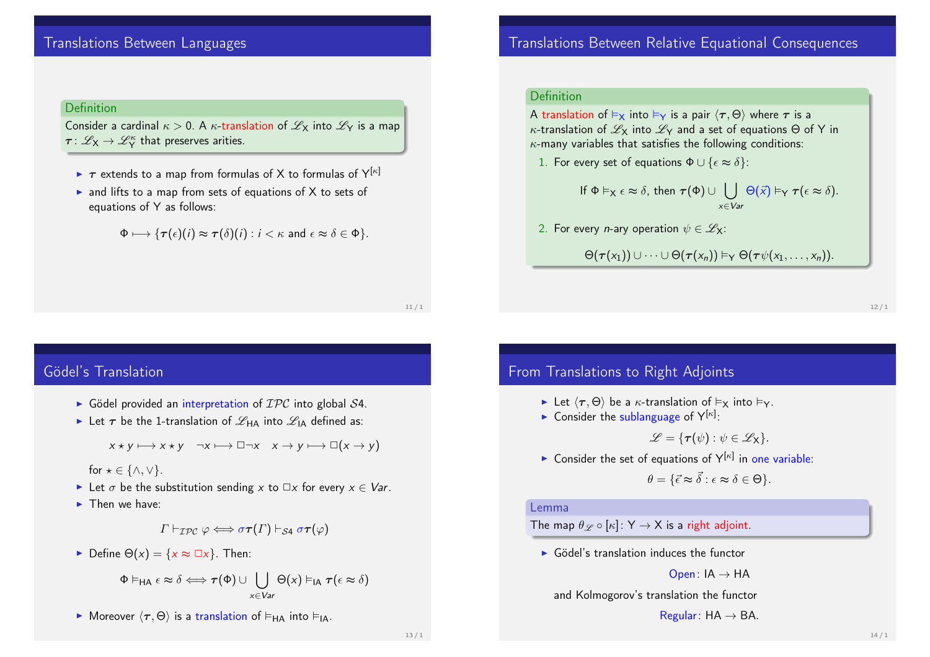# Translations Between Languages

**Definition** 

Consider a cardinal  $\kappa > 0$ . A  $\kappa$ -translation of  $\mathscr{L}_X$  into  $\mathscr{L}_Y$  is a map  $\tau\colon \mathscr{L}_\mathsf{X}\to \mathscr{L}^\kappa_\mathsf{Y}$  that preserves arities.

- $\triangleright$   $\tau$  extends to a map from formulas of X to formulas of Y[ $\kappa$ ]
- $\triangleright$  and lifts to a map from sets of equations of X to sets of equations of Y as follows:

$$
\Phi \longmapsto \{\tau(\epsilon)(i) \approx \tau(\delta)(i) : i < \kappa \text{ and } \epsilon \approx \delta \in \Phi\}.
$$

11 / 1

# Gödel's Translation

- $\triangleright$  Gödel provided an interpretation of  $\mathcal{IPC}$  into global  $\mathcal{S}4$ .
- Exercise Let  $\tau$  be the 1-translation of  $\mathscr{L}_{HA}$  into  $\mathscr{L}_{IA}$  defined as:

 $x \star v \longmapsto x \star v$   $\neg x \longmapsto \Box \neg x$   $x \to v \longmapsto \Box(x \to v)$ 

for  $\star \in \{\wedge, \vee\}.$ 

- In Let  $\sigma$  be the substitution sending x to  $\Box x$  for every  $x \in \mathsf{Var}$ .
- $\blacktriangleright$  Then we have:

 $\Gamma \vdash_{\mathcal{TPC}} \varphi \Longleftrightarrow \sigma \tau(\Gamma) \vdash_{\mathcal{S}4} \sigma \tau(\varphi)$ 

 $\triangleright$  Define  $\Theta(x) = \{x \approx \square x\}$ . Then:

$$
\Phi \vDash_{\mathsf{HA}} \epsilon \approx \delta \Longleftrightarrow \tau(\Phi) \cup \bigcup_{x \in \mathsf{Var}} \Theta(x) \vDash_{\mathsf{IA}} \tau(\epsilon \approx \delta)
$$

**Moreover**  $\langle \tau, \Theta \rangle$  is a translation of  $\vdash_{HA}$  into  $\vdash_{IA}$ .

# Translations Between Relative Equational Consequences

### Definition

A translation of  $\vdash_{\mathsf{X}}$  into  $\vdash_{\mathsf{Y}}$  is a pair  $\langle \tau, \Theta \rangle$  where  $\tau$  is a κ-translation of  $\mathscr{L}_X$  into  $\mathscr{L}_Y$  and a set of equations  $\Theta$  of Y in  $\kappa$ -many variables that satisfies the following conditions:

1. For every set of equations  $\Phi \cup {\epsilon \approx \delta}$ :

$$
\text{If } \Phi \vDash_{X} \epsilon \approx \delta, \text{ then } \tau(\Phi) \cup \bigcup_{x \in \text{Var}} \Theta(\vec{x}) \vDash_{Y} \tau(\epsilon \approx \delta).
$$

2. For every *n*-ary operation  $\psi \in \mathscr{L}_{\mathsf{X}}$ :

 $\Theta(\tau(x_1)) \cup \cdots \cup \Theta(\tau(x_n)) \vDash_{\mathsf{Y}} \Theta(\tau \psi(x_1, \ldots, x_n)).$ 

12 / 1

## From Translations to Right Adjoints

- Let  $\langle \tau, \Theta \rangle$  be a  $\kappa$ -translation of  $\vDash_{\mathsf{X}}$  into  $\vDash_{\mathsf{Y}}$ .
- **Consider the sublanguage of**  $Y^{[\kappa]}$ **:**

 $\mathscr{L} = \{ \tau(\psi) : \psi \in \mathscr{L}_X \}.$ 

**Consider the set of equations of**  $Y^{[\kappa]}$  **in one variable:** 

 $\theta = {\vec{\epsilon} \approx \vec{\delta} : \epsilon \approx \delta \in \Theta}.$ 

#### Lemma

The map  $\theta_{\mathscr{L}} \circ [\kappa] : Y \to X$  is a right adjoint.

 $\triangleright$  Gödel's translation induces the functor

Open:  $IA \rightarrow HA$ 

and Kolmogorov's translation the functor

Regular:  $HA \rightarrow BA$ .